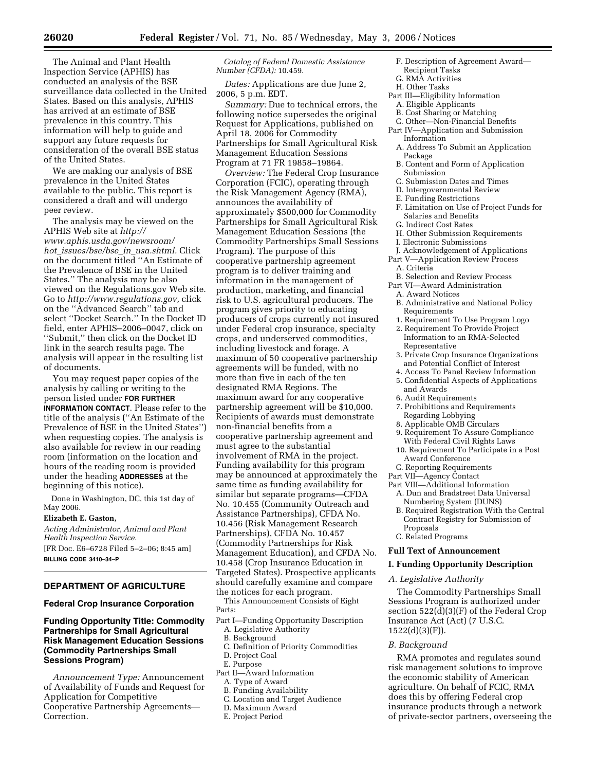The Animal and Plant Health Inspection Service (APHIS) has conducted an analysis of the BSE surveillance data collected in the United States. Based on this analysis, APHIS has arrived at an estimate of BSE prevalence in this country. This information will help to guide and support any future requests for consideration of the overall BSE status of the United States.

We are making our analysis of BSE prevalence in the United States available to the public. This report is considered a draft and will undergo peer review.

The analysis may be viewed on the APHIS Web site at *http:// www.aphis.usda.gov/newsroom/ hot*\_*issues/bse/bse*\_*in*\_*usa.shtml.* Click on the document titled ''An Estimate of the Prevalence of BSE in the United States.'' The analysis may be also viewed on the Regulations.gov Web site. Go to *http://www.regulations.gov,* click on the ''Advanced Search'' tab and select ''Docket Search.'' In the Docket ID field, enter APHIS–2006–0047, click on ''Submit,'' then click on the Docket ID link in the search results page. The analysis will appear in the resulting list of documents.

You may request paper copies of the analysis by calling or writing to the person listed under **FOR FURTHER INFORMATION CONTACT**. Please refer to the title of the analysis (''An Estimate of the Prevalence of BSE in the United States'') when requesting copies. The analysis is also available for review in our reading room (information on the location and hours of the reading room is provided under the heading **ADDRESSES** at the beginning of this notice).

Done in Washington, DC, this 1st day of May 2006.

#### **Elizabeth E. Gaston,**

*Acting Administrator, Animal and Plant Health Inspection Service.* 

[FR Doc. E6–6728 Filed 5–2–06; 8:45 am] **BILLING CODE 3410–34–P** 

# **DEPARTMENT OF AGRICULTURE**

# **Federal Crop Insurance Corporation**

# **Funding Opportunity Title: Commodity Partnerships for Small Agricultural Risk Management Education Sessions (Commodity Partnerships Small Sessions Program)**

*Announcement Type:* Announcement of Availability of Funds and Request for Application for Competitive Cooperative Partnership Agreements— Correction.

*Catalog of Federal Domestic Assistance Number (CFDA):* 10.459.

*Dates:* Applications are due June 2, 2006, 5 p.m. EDT.

*Summary:* Due to technical errors, the following notice supersedes the original Request for Applications, published on April 18, 2006 for Commodity Partnerships for Small Agricultural Risk Management Education Sessions Program at 71 FR 19858–19864.

*Overview:* The Federal Crop Insurance Corporation (FCIC), operating through the Risk Management Agency (RMA), announces the availability of approximately \$500,000 for Commodity Partnerships for Small Agricultural Risk Management Education Sessions (the Commodity Partnerships Small Sessions Program). The purpose of this cooperative partnership agreement program is to deliver training and information in the management of production, marketing, and financial risk to U.S. agricultural producers. The program gives priority to educating producers of crops currently not insured under Federal crop insurance, specialty crops, and underserved commodities, including livestock and forage. A maximum of 50 cooperative partnership agreements will be funded, with no more than five in each of the ten designated RMA Regions. The maximum award for any cooperative partnership agreement will be \$10,000. Recipients of awards must demonstrate non-financial benefits from a cooperative partnership agreement and must agree to the substantial involvement of RMA in the project. Funding availability for this program may be announced at approximately the same time as funding availability for similar but separate programs—CFDA No. 10.455 (Community Outreach and Assistance Partnerships), CFDA No. 10.456 (Risk Management Research Partnerships), CFDA No. 10.457 (Commodity Partnerships for Risk Management Education), and CFDA No. 10.458 (Crop Insurance Education in Targeted States). Prospective applicants should carefully examine and compare the notices for each program.

This Announcement Consists of Eight Parts:

- Part I—Funding Opportunity Description
	- A. Legislative Authority
	- B. Background
	- C. Definition of Priority Commodities
- D. Project Goal
- E. Purpose
- Part II—Award Information
	- A. Type of Award
	- B. Funding Availability
	- C. Location and Target Audience
	- D. Maximum Award E. Project Period
- F. Description of Agreement Award— Recipient Tasks
- G. RMA Activities
- H. Other Tasks
- Part III—Eligibility Information A. Eligible Applicants
	- B. Cost Sharing or Matching
	- C. Other—Non-Financial Benefits
- Part IV—Application and Submission Information
	- A. Address To Submit an Application Package
	- B. Content and Form of Application Submission
	- C. Submission Dates and Times
	- D. Intergovernmental Review
	- E. Funding Restrictions
	- F. Limitation on Use of Project Funds for Salaries and Benefits
	- G. Indirect Cost Rates
	- H. Other Submission Requirements
	- I. Electronic Submissions
- J. Acknowledgement of Applications
- Part V—Application Review Process A. Criteria
- B. Selection and Review Process
- Part VI—Award Administration
	- A. Award Notices
- B. Administrative and National Policy Requirements
- 1. Requirement To Use Program Logo
- 2. Requirement To Provide Project Information to an RMA-Selected Representative
- 3. Private Crop Insurance Organizations and Potential Conflict of Interest
- 4. Access To Panel Review Information
- 5. Confidential Aspects of Applications and Awards
- 6. Audit Requirements
- 7. Prohibitions and Requirements Regarding Lobbying
- 8. Applicable OMB Circulars
- 9. Requirement To Assure Compliance With Federal Civil Rights Laws
- 10. Requirement To Participate in a Post Award Conference
- C. Reporting Requirements
- Part VII—Agency Contact
- Part VIII—Additional Information
	- A. Dun and Bradstreet Data Universal Numbering System (DUNS)
	- B. Required Registration With the Central Contract Registry for Submission of Proposals
	- C. Related Programs

## **Full Text of Announcement**

# **I. Funding Opportunity Description**

### *A. Legislative Authority*

The Commodity Partnerships Small Sessions Program is authorized under section 522(d)(3)(F) of the Federal Crop Insurance Act (Act) (7 U.S.C.  $1522(d)(3)(F)$ ).

### *B. Background*

RMA promotes and regulates sound risk management solutions to improve the economic stability of American agriculture. On behalf of FCIC, RMA does this by offering Federal crop insurance products through a network of private-sector partners, overseeing the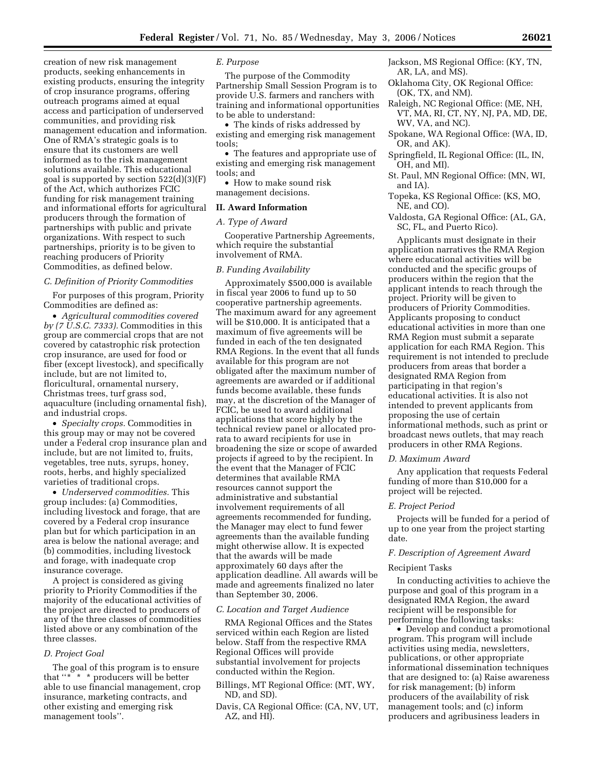creation of new risk management products, seeking enhancements in existing products, ensuring the integrity of crop insurance programs, offering outreach programs aimed at equal access and participation of underserved communities, and providing risk management education and information. One of RMA's strategic goals is to ensure that its customers are well informed as to the risk management solutions available. This educational goal is supported by section 522(d)(3)(F) of the Act, which authorizes FCIC funding for risk management training and informational efforts for agricultural producers through the formation of partnerships with public and private organizations. With respect to such partnerships, priority is to be given to reaching producers of Priority Commodities, as defined below.

## *C. Definition of Priority Commodities*

For purposes of this program, Priority Commodities are defined as:

• *Agricultural commodities covered by (7 U.S.C. 7333).* Commodities in this group are commercial crops that are not covered by catastrophic risk protection crop insurance, are used for food or fiber (except livestock), and specifically include, but are not limited to, floricultural, ornamental nursery, Christmas trees, turf grass sod, aquaculture (including ornamental fish), and industrial crops.

• *Specialty crops.* Commodities in this group may or may not be covered under a Federal crop insurance plan and include, but are not limited to, fruits, vegetables, tree nuts, syrups, honey, roots, herbs, and highly specialized varieties of traditional crops.

• *Underserved commodities.* This group includes: (a) Commodities, including livestock and forage, that are covered by a Federal crop insurance plan but for which participation in an area is below the national average; and (b) commodities, including livestock and forage, with inadequate crop insurance coverage.

A project is considered as giving priority to Priority Commodities if the majority of the educational activities of the project are directed to producers of any of the three classes of commodities listed above or any combination of the three classes.

## *D. Project Goal*

The goal of this program is to ensure that "\* \* \* producers will be better able to use financial management, crop insurance, marketing contracts, and other existing and emerging risk management tools''.

## *E. Purpose*

The purpose of the Commodity Partnership Small Session Program is to provide U.S. farmers and ranchers with training and informational opportunities to be able to understand:

• The kinds of risks addressed by existing and emerging risk management tools;

• The features and appropriate use of existing and emerging risk management

tools; and • How to make sound risk management decisions.

#### **II. Award Information**

#### *A. Type of Award*

Cooperative Partnership Agreements, which require the substantial involvement of RMA.

#### *B. Funding Availability*

Approximately \$500,000 is available in fiscal year 2006 to fund up to 50 cooperative partnership agreements. The maximum award for any agreement will be \$10,000. It is anticipated that a maximum of five agreements will be funded in each of the ten designated RMA Regions. In the event that all funds available for this program are not obligated after the maximum number of agreements are awarded or if additional funds become available, these funds may, at the discretion of the Manager of FCIC, be used to award additional applications that score highly by the technical review panel or allocated prorata to award recipients for use in broadening the size or scope of awarded projects if agreed to by the recipient. In the event that the Manager of FCIC determines that available RMA resources cannot support the administrative and substantial involvement requirements of all agreements recommended for funding, the Manager may elect to fund fewer agreements than the available funding might otherwise allow. It is expected that the awards will be made approximately 60 days after the application deadline. All awards will be made and agreements finalized no later than September 30, 2006.

## *C. Location and Target Audience*

RMA Regional Offices and the States serviced within each Region are listed below. Staff from the respective RMA Regional Offices will provide substantial involvement for projects conducted within the Region.

- Billings, MT Regional Office: (MT, WY, ND, and SD).
- Davis, CA Regional Office: (CA, NV, UT, AZ, and HI).
- Jackson, MS Regional Office: (KY, TN, AR, LA, and MS).
- Oklahoma City, OK Regional Office: (OK, TX, and NM).
- Raleigh, NC Regional Office: (ME, NH, VT, MA, RI, CT, NY, NJ, PA, MD, DE, WV, VA, and NC).
- Spokane, WA Regional Office: (WA, ID, OR, and AK).
- Springfield, IL Regional Office: (IL, IN, OH, and MI).
- St. Paul, MN Regional Office: (MN, WI, and IA).
- Topeka, KS Regional Office: (KS, MO, NE, and CO).

Valdosta, GA Regional Office: (AL, GA, SC, FL, and Puerto Rico).

Applicants must designate in their application narratives the RMA Region where educational activities will be conducted and the specific groups of producers within the region that the applicant intends to reach through the project. Priority will be given to producers of Priority Commodities. Applicants proposing to conduct educational activities in more than one RMA Region must submit a separate application for each RMA Region. This requirement is not intended to preclude producers from areas that border a designated RMA Region from participating in that region's educational activities. It is also not intended to prevent applicants from proposing the use of certain informational methods, such as print or broadcast news outlets, that may reach producers in other RMA Regions.

### *D. Maximum Award*

Any application that requests Federal funding of more than \$10,000 for a project will be rejected.

#### *E. Project Period*

Projects will be funded for a period of up to one year from the project starting date.

### *F. Description of Agreement Award*

## Recipient Tasks

In conducting activities to achieve the purpose and goal of this program in a designated RMA Region, the award recipient will be responsible for performing the following tasks:

• Develop and conduct a promotional program. This program will include activities using media, newsletters, publications, or other appropriate informational dissemination techniques that are designed to: (a) Raise awareness for risk management; (b) inform producers of the availability of risk management tools; and (c) inform producers and agribusiness leaders in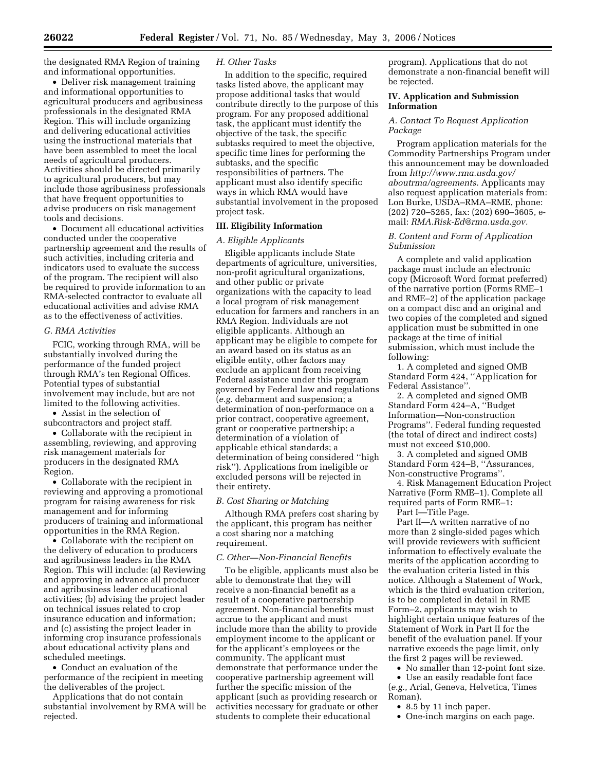the designated RMA Region of training and informational opportunities.

• Deliver risk management training and informational opportunities to agricultural producers and agribusiness professionals in the designated RMA Region. This will include organizing and delivering educational activities using the instructional materials that have been assembled to meet the local needs of agricultural producers. Activities should be directed primarily to agricultural producers, but may include those agribusiness professionals that have frequent opportunities to advise producers on risk management tools and decisions.

• Document all educational activities conducted under the cooperative partnership agreement and the results of such activities, including criteria and indicators used to evaluate the success of the program. The recipient will also be required to provide information to an RMA-selected contractor to evaluate all educational activities and advise RMA as to the effectiveness of activities.

### *G. RMA Activities*

FCIC, working through RMA, will be substantially involved during the performance of the funded project through RMA's ten Regional Offices. Potential types of substantial involvement may include, but are not limited to the following activities.

• Assist in the selection of subcontractors and project staff.

• Collaborate with the recipient in assembling, reviewing, and approving risk management materials for producers in the designated RMA Region.

• Collaborate with the recipient in reviewing and approving a promotional program for raising awareness for risk management and for informing producers of training and informational opportunities in the RMA Region.

• Collaborate with the recipient on the delivery of education to producers and agribusiness leaders in the RMA Region. This will include: (a) Reviewing and approving in advance all producer and agribusiness leader educational activities; (b) advising the project leader on technical issues related to crop insurance education and information; and (c) assisting the project leader in informing crop insurance professionals about educational activity plans and scheduled meetings.

• Conduct an evaluation of the performance of the recipient in meeting the deliverables of the project.

Applications that do not contain substantial involvement by RMA will be rejected.

### *H. Other Tasks*

In addition to the specific, required tasks listed above, the applicant may propose additional tasks that would contribute directly to the purpose of this program. For any proposed additional task, the applicant must identify the objective of the task, the specific subtasks required to meet the objective, specific time lines for performing the subtasks, and the specific responsibilities of partners. The applicant must also identify specific ways in which RMA would have substantial involvement in the proposed project task.

#### **III. Eligibility Information**

#### *A. Eligible Applicants*

Eligible applicants include State departments of agriculture, universities, non-profit agricultural organizations, and other public or private organizations with the capacity to lead a local program of risk management education for farmers and ranchers in an RMA Region. Individuals are not eligible applicants. Although an applicant may be eligible to compete for an award based on its status as an eligible entity, other factors may exclude an applicant from receiving Federal assistance under this program governed by Federal law and regulations (*e.g.* debarment and suspension; a determination of non-performance on a prior contract, cooperative agreement, grant or cooperative partnership; a determination of a violation of applicable ethical standards; a determination of being considered ''high risk''). Applications from ineligible or excluded persons will be rejected in their entirety.

#### *B. Cost Sharing or Matching*

Although RMA prefers cost sharing by the applicant, this program has neither a cost sharing nor a matching requirement.

### *C. Other—Non-Financial Benefits*

To be eligible, applicants must also be able to demonstrate that they will receive a non-financial benefit as a result of a cooperative partnership agreement. Non-financial benefits must accrue to the applicant and must include more than the ability to provide employment income to the applicant or for the applicant's employees or the community. The applicant must demonstrate that performance under the cooperative partnership agreement will further the specific mission of the applicant (such as providing research or activities necessary for graduate or other students to complete their educational

program). Applications that do not demonstrate a non-financial benefit will be rejected.

## **IV. Application and Submission Information**

# *A. Contact To Request Application Package*

Program application materials for the Commodity Partnerships Program under this announcement may be downloaded from *http://www.rma.usda.gov/ aboutrma/agreements.* Applicants may also request application materials from: Lon Burke, USDA–RMA–RME, phone: (202) 720–5265, fax: (202) 690–3605, email: *RMA.Risk-Ed@rma.usda.gov.* 

### *B. Content and Form of Application Submission*

A complete and valid application package must include an electronic copy (Microsoft Word format preferred) of the narrative portion (Forms RME–1 and RME–2) of the application package on a compact disc and an original and two copies of the completed and signed application must be submitted in one package at the time of initial submission, which must include the following:

1. A completed and signed OMB Standard Form 424, ''Application for Federal Assistance''.

2. A completed and signed OMB Standard Form 424–A, ''Budget Information—Non-construction Programs''. Federal funding requested (the total of direct and indirect costs) must not exceed \$10,000.

3. A completed and signed OMB Standard Form 424–B, ''Assurances, Non-constructive Programs''.

4. Risk Management Education Project Narrative (Form RME–1). Complete all required parts of Form RME–1:

Part I—Title Page.

Part II—A written narrative of no more than 2 single-sided pages which will provide reviewers with sufficient information to effectively evaluate the merits of the application according to the evaluation criteria listed in this notice. Although a Statement of Work, which is the third evaluation criterion, is to be completed in detail in RME Form–2, applicants may wish to highlight certain unique features of the Statement of Work in Part II for the benefit of the evaluation panel. If your narrative exceeds the page limit, only the first 2 pages will be reviewed.

• No smaller than 12-point font size.

• Use an easily readable font face (*e.g.*, Arial, Geneva, Helvetica, Times Roman).

• 8.5 by 11 inch paper.

• One-inch margins on each page.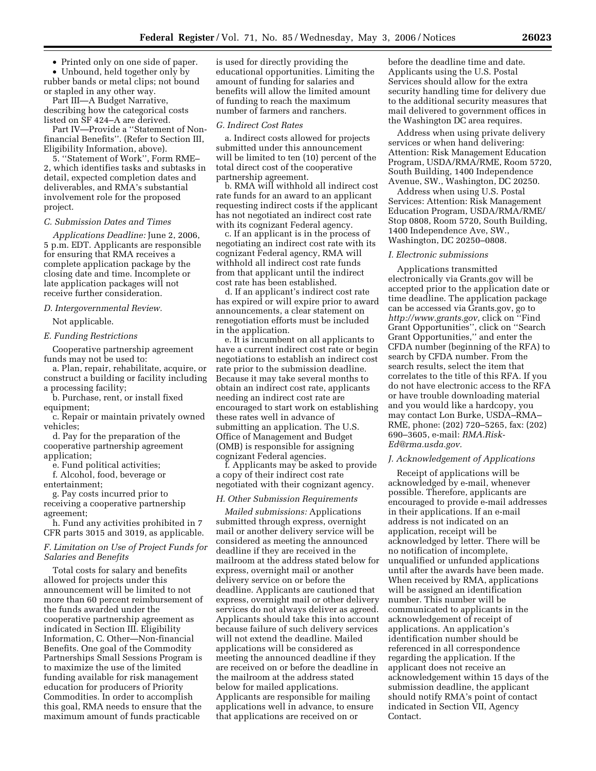• Printed only on one side of paper.

• Unbound, held together only by rubber bands or metal clips; not bound or stapled in any other way.

Part III—A Budget Narrative, describing how the categorical costs listed on SF 424–A are derived.

Part IV—Provide a ''Statement of Nonfinancial Benefits''. (Refer to Section III, Eligibility Information, above).

5. ''Statement of Work'', Form RME– 2, which identifies tasks and subtasks in detail, expected completion dates and deliverables, and RMA's substantial involvement role for the proposed project.

#### *C. Submission Dates and Times*

*Applications Deadline:* June 2, 2006, 5 p.m. EDT. Applicants are responsible for ensuring that RMA receives a complete application package by the closing date and time. Incomplete or late application packages will not receive further consideration.

#### *D. Intergovernmental Review.*

Not applicable.

### *E. Funding Restrictions*

Cooperative partnership agreement funds may not be used to:

a. Plan, repair, rehabilitate, acquire, or construct a building or facility including a processing facility;

b. Purchase, rent, or install fixed equipment;

c. Repair or maintain privately owned vehicles;

d. Pay for the preparation of the cooperative partnership agreement application;

e. Fund political activities;

f. Alcohol, food, beverage or entertainment;

g. Pay costs incurred prior to receiving a cooperative partnership agreement;

h. Fund any activities prohibited in 7 CFR parts 3015 and 3019, as applicable.

*F. Limitation on Use of Project Funds for Salaries and Benefits* 

Total costs for salary and benefits allowed for projects under this announcement will be limited to not more than 60 percent reimbursement of the funds awarded under the cooperative partnership agreement as indicated in Section III. Eligibility Information, C. Other—Non-financial Benefits. One goal of the Commodity Partnerships Small Sessions Program is to maximize the use of the limited funding available for risk management education for producers of Priority Commodities. In order to accomplish this goal, RMA needs to ensure that the maximum amount of funds practicable

is used for directly providing the educational opportunities. Limiting the amount of funding for salaries and benefits will allow the limited amount of funding to reach the maximum number of farmers and ranchers.

#### *G. Indirect Cost Rates*

a. Indirect costs allowed for projects submitted under this announcement will be limited to ten (10) percent of the total direct cost of the cooperative partnership agreement.

b. RMA will withhold all indirect cost rate funds for an award to an applicant requesting indirect costs if the applicant has not negotiated an indirect cost rate with its cognizant Federal agency.

c. If an applicant is in the process of negotiating an indirect cost rate with its cognizant Federal agency, RMA will withhold all indirect cost rate funds from that applicant until the indirect cost rate has been established.

d. If an applicant's indirect cost rate has expired or will expire prior to award announcements, a clear statement on renegotiation efforts must be included in the application.

e. It is incumbent on all applicants to have a current indirect cost rate or begin negotiations to establish an indirect cost rate prior to the submission deadline. Because it may take several months to obtain an indirect cost rate, applicants needing an indirect cost rate are encouraged to start work on establishing these rates well in advance of submitting an application. The U.S. Office of Management and Budget (OMB) is responsible for assigning cognizant Federal agencies.

f. Applicants may be asked to provide a copy of their indirect cost rate negotiated with their cognizant agency.

## *H. Other Submission Requirements*

*Mailed submissions:* Applications submitted through express, overnight mail or another delivery service will be considered as meeting the announced deadline if they are received in the mailroom at the address stated below for express, overnight mail or another delivery service on or before the deadline. Applicants are cautioned that express, overnight mail or other delivery services do not always deliver as agreed. Applicants should take this into account because failure of such delivery services will not extend the deadline. Mailed applications will be considered as meeting the announced deadline if they are received on or before the deadline in the mailroom at the address stated below for mailed applications. Applicants are responsible for mailing applications well in advance, to ensure that applications are received on or

before the deadline time and date. Applicants using the U.S. Postal Services should allow for the extra security handling time for delivery due to the additional security measures that mail delivered to government offices in the Washington DC area requires.

Address when using private delivery services or when hand delivering: Attention: Risk Management Education Program, USDA/RMA/RME, Room 5720, South Building, 1400 Independence Avenue, SW., Washington, DC 20250.

Address when using U.S. Postal Services: Attention: Risk Management Education Program, USDA/RMA/RME/ Stop 0808, Room 5720, South Building, 1400 Independence Ave, SW., Washington, DC 20250–0808.

### *I. Electronic submissions*

Applications transmitted electronically via Grants.gov will be accepted prior to the application date or time deadline. The application package can be accessed via Grants.gov, go to *http://www.grants.gov,* click on ''Find Grant Opportunities'', click on ''Search Grant Opportunities,'' and enter the CFDA number (beginning of the RFA) to search by CFDA number. From the search results, select the item that correlates to the title of this RFA. If you do not have electronic access to the RFA or have trouble downloading material and you would like a hardcopy, you may contact Lon Burke, USDA–RMA– RME, phone: (202) 720–5265, fax: (202) 690–3605, e-mail: *RMA.Risk-Ed@rma.usda.gov.* 

## *J. Acknowledgement of Applications*

Receipt of applications will be acknowledged by e-mail, whenever possible. Therefore, applicants are encouraged to provide e-mail addresses in their applications. If an e-mail address is not indicated on an application, receipt will be acknowledged by letter. There will be no notification of incomplete, unqualified or unfunded applications until after the awards have been made. When received by RMA, applications will be assigned an identification number. This number will be communicated to applicants in the acknowledgement of receipt of applications. An application's identification number should be referenced in all correspondence regarding the application. If the applicant does not receive an acknowledgement within 15 days of the submission deadline, the applicant should notify RMA's point of contact indicated in Section VII, Agency Contact.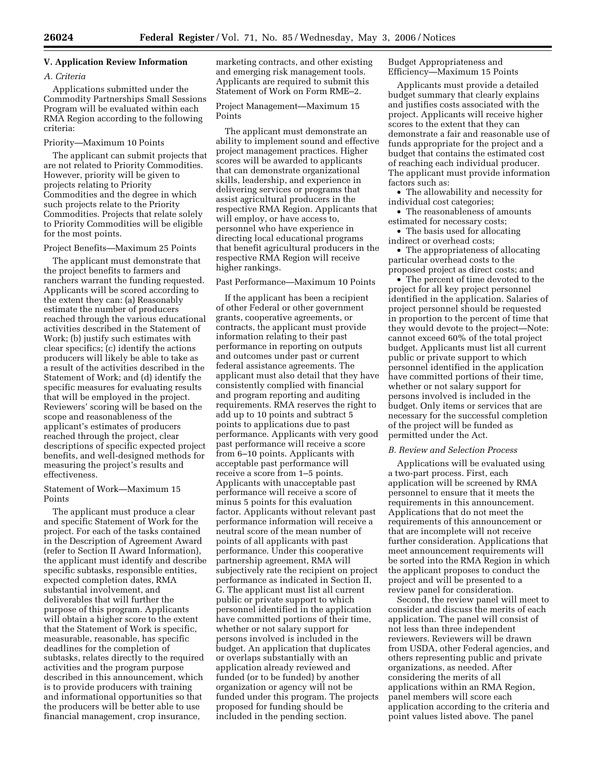# **V. Application Review Information**

### *A. Criteria*

Applications submitted under the Commodity Partnerships Small Sessions Program will be evaluated within each RMA Region according to the following criteria:

## Priority—Maximum 10 Points

The applicant can submit projects that are not related to Priority Commodities. However, priority will be given to projects relating to Priority Commodities and the degree in which such projects relate to the Priority Commodities. Projects that relate solely to Priority Commodities will be eligible for the most points.

#### Project Benefits—Maximum 25 Points

The applicant must demonstrate that the project benefits to farmers and ranchers warrant the funding requested. Applicants will be scored according to the extent they can: (a) Reasonably estimate the number of producers reached through the various educational activities described in the Statement of Work; (b) justify such estimates with clear specifics; (c) identify the actions producers will likely be able to take as a result of the activities described in the Statement of Work; and (d) identify the specific measures for evaluating results that will be employed in the project. Reviewers' scoring will be based on the scope and reasonableness of the applicant's estimates of producers reached through the project, clear descriptions of specific expected project benefits, and well-designed methods for measuring the project's results and effectiveness.

## Statement of Work—Maximum 15 Points

The applicant must produce a clear and specific Statement of Work for the project. For each of the tasks contained in the Description of Agreement Award (refer to Section II Award Information), the applicant must identify and describe specific subtasks, responsible entities, expected completion dates, RMA substantial involvement, and deliverables that will further the purpose of this program. Applicants will obtain a higher score to the extent that the Statement of Work is specific, measurable, reasonable, has specific deadlines for the completion of subtasks, relates directly to the required activities and the program purpose described in this announcement, which is to provide producers with training and informational opportunities so that the producers will be better able to use financial management, crop insurance,

marketing contracts, and other existing and emerging risk management tools. Applicants are required to submit this Statement of Work on Form RME–2.

## Project Management—Maximum 15 Points

The applicant must demonstrate an ability to implement sound and effective project management practices. Higher scores will be awarded to applicants that can demonstrate organizational skills, leadership, and experience in delivering services or programs that assist agricultural producers in the respective RMA Region. Applicants that will employ, or have access to, personnel who have experience in directing local educational programs that benefit agricultural producers in the respective RMA Region will receive higher rankings.

# Past Performance—Maximum 10 Points

If the applicant has been a recipient of other Federal or other government grants, cooperative agreements, or contracts, the applicant must provide information relating to their past performance in reporting on outputs and outcomes under past or current federal assistance agreements. The applicant must also detail that they have consistently complied with financial and program reporting and auditing requirements. RMA reserves the right to add up to 10 points and subtract 5 points to applications due to past performance. Applicants with very good past performance will receive a score from 6–10 points. Applicants with acceptable past performance will receive a score from 1–5 points. Applicants with unacceptable past performance will receive a score of minus 5 points for this evaluation factor. Applicants without relevant past performance information will receive a neutral score of the mean number of points of all applicants with past performance. Under this cooperative partnership agreement, RMA will subjectively rate the recipient on project performance as indicated in Section II, G. The applicant must list all current public or private support to which personnel identified in the application have committed portions of their time, whether or not salary support for persons involved is included in the budget. An application that duplicates or overlaps substantially with an application already reviewed and funded (or to be funded) by another organization or agency will not be funded under this program. The projects proposed for funding should be included in the pending section.

Budget Appropriateness and Efficiency—Maximum 15 Points

Applicants must provide a detailed budget summary that clearly explains and justifies costs associated with the project. Applicants will receive higher scores to the extent that they can demonstrate a fair and reasonable use of funds appropriate for the project and a budget that contains the estimated cost of reaching each individual producer. The applicant must provide information factors such as:

• The allowability and necessity for individual cost categories;

• The reasonableness of amounts estimated for necessary costs;

• The basis used for allocating indirect or overhead costs;

• The appropriateness of allocating particular overhead costs to the proposed project as direct costs; and

• The percent of time devoted to the project for all key project personnel identified in the application. Salaries of project personnel should be requested in proportion to the percent of time that they would devote to the project—Note: cannot exceed 60% of the total project budget. Applicants must list all current public or private support to which personnel identified in the application have committed portions of their time, whether or not salary support for persons involved is included in the budget. Only items or services that are necessary for the successful completion of the project will be funded as permitted under the Act.

### *B. Review and Selection Process*

Applications will be evaluated using a two-part process. First, each application will be screened by RMA personnel to ensure that it meets the requirements in this announcement. Applications that do not meet the requirements of this announcement or that are incomplete will not receive further consideration. Applications that meet announcement requirements will be sorted into the RMA Region in which the applicant proposes to conduct the project and will be presented to a review panel for consideration.

Second, the review panel will meet to consider and discuss the merits of each application. The panel will consist of not less than three independent reviewers. Reviewers will be drawn from USDA, other Federal agencies, and others representing public and private organizations, as needed. After considering the merits of all applications within an RMA Region, panel members will score each application according to the criteria and point values listed above. The panel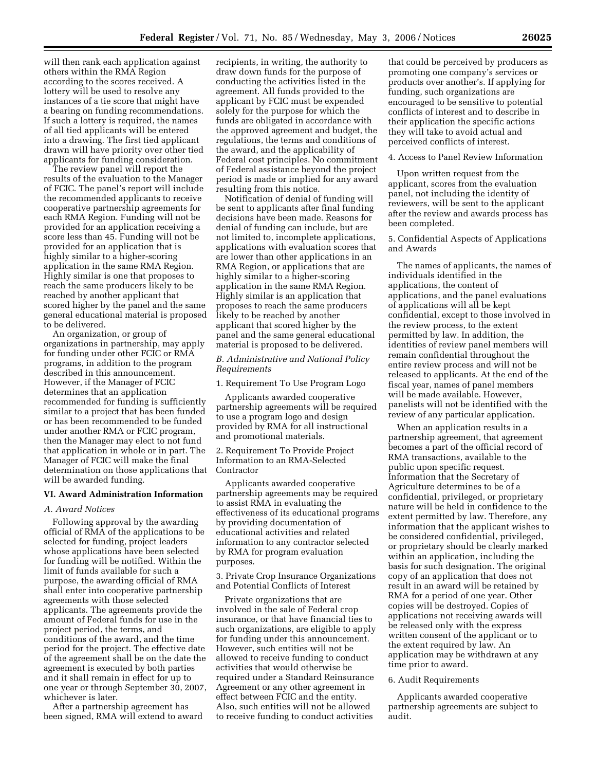will then rank each application against others within the RMA Region according to the scores received. A lottery will be used to resolve any instances of a tie score that might have a bearing on funding recommendations. If such a lottery is required, the names of all tied applicants will be entered into a drawing. The first tied applicant drawn will have priority over other tied applicants for funding consideration.

The review panel will report the results of the evaluation to the Manager of FCIC. The panel's report will include the recommended applicants to receive cooperative partnership agreements for each RMA Region. Funding will not be provided for an application receiving a score less than 45. Funding will not be provided for an application that is highly similar to a higher-scoring application in the same RMA Region. Highly similar is one that proposes to reach the same producers likely to be reached by another applicant that scored higher by the panel and the same general educational material is proposed to be delivered.

An organization, or group of organizations in partnership, may apply for funding under other FCIC or RMA programs, in addition to the program described in this announcement. However, if the Manager of FCIC determines that an application recommended for funding is sufficiently similar to a project that has been funded or has been recommended to be funded under another RMA or FCIC program, then the Manager may elect to not fund that application in whole or in part. The Manager of FCIC will make the final determination on those applications that will be awarded funding.

### **VI. Award Administration Information**

#### *A. Award Notices*

Following approval by the awarding official of RMA of the applications to be selected for funding, project leaders whose applications have been selected for funding will be notified. Within the limit of funds available for such a purpose, the awarding official of RMA shall enter into cooperative partnership agreements with those selected applicants. The agreements provide the amount of Federal funds for use in the project period, the terms, and conditions of the award, and the time period for the project. The effective date of the agreement shall be on the date the agreement is executed by both parties and it shall remain in effect for up to one year or through September 30, 2007, whichever is later.

After a partnership agreement has been signed, RMA will extend to award

recipients, in writing, the authority to draw down funds for the purpose of conducting the activities listed in the agreement. All funds provided to the applicant by FCIC must be expended solely for the purpose for which the funds are obligated in accordance with the approved agreement and budget, the regulations, the terms and conditions of the award, and the applicability of Federal cost principles. No commitment of Federal assistance beyond the project period is made or implied for any award resulting from this notice.

Notification of denial of funding will be sent to applicants after final funding decisions have been made. Reasons for denial of funding can include, but are not limited to, incomplete applications, applications with evaluation scores that are lower than other applications in an RMA Region, or applications that are highly similar to a higher-scoring application in the same RMA Region. Highly similar is an application that proposes to reach the same producers likely to be reached by another applicant that scored higher by the panel and the same general educational material is proposed to be delivered.

## *B. Administrative and National Policy Requirements*

# 1. Requirement To Use Program Logo

Applicants awarded cooperative partnership agreements will be required to use a program logo and design provided by RMA for all instructional and promotional materials.

2. Requirement To Provide Project Information to an RMA-Selected **Contractor** 

Applicants awarded cooperative partnership agreements may be required to assist RMA in evaluating the effectiveness of its educational programs by providing documentation of educational activities and related information to any contractor selected by RMA for program evaluation purposes.

3. Private Crop Insurance Organizations and Potential Conflicts of Interest

Private organizations that are involved in the sale of Federal crop insurance, or that have financial ties to such organizations, are eligible to apply for funding under this announcement. However, such entities will not be allowed to receive funding to conduct activities that would otherwise be required under a Standard Reinsurance Agreement or any other agreement in effect between FCIC and the entity. Also, such entities will not be allowed to receive funding to conduct activities

that could be perceived by producers as promoting one company's services or products over another's. If applying for funding, such organizations are encouraged to be sensitive to potential conflicts of interest and to describe in their application the specific actions they will take to avoid actual and perceived conflicts of interest.

#### 4. Access to Panel Review Information

Upon written request from the applicant, scores from the evaluation panel, not including the identity of reviewers, will be sent to the applicant after the review and awards process has been completed.

5. Confidential Aspects of Applications and Awards

The names of applicants, the names of individuals identified in the applications, the content of applications, and the panel evaluations of applications will all be kept confidential, except to those involved in the review process, to the extent permitted by law. In addition, the identities of review panel members will remain confidential throughout the entire review process and will not be released to applicants. At the end of the fiscal year, names of panel members will be made available. However, panelists will not be identified with the review of any particular application.

When an application results in a partnership agreement, that agreement becomes a part of the official record of RMA transactions, available to the public upon specific request. Information that the Secretary of Agriculture determines to be of a confidential, privileged, or proprietary nature will be held in confidence to the extent permitted by law. Therefore, any information that the applicant wishes to be considered confidential, privileged, or proprietary should be clearly marked within an application, including the basis for such designation. The original copy of an application that does not result in an award will be retained by RMA for a period of one year. Other copies will be destroyed. Copies of applications not receiving awards will be released only with the express written consent of the applicant or to the extent required by law. An application may be withdrawn at any time prior to award.

#### 6. Audit Requirements

Applicants awarded cooperative partnership agreements are subject to audit.